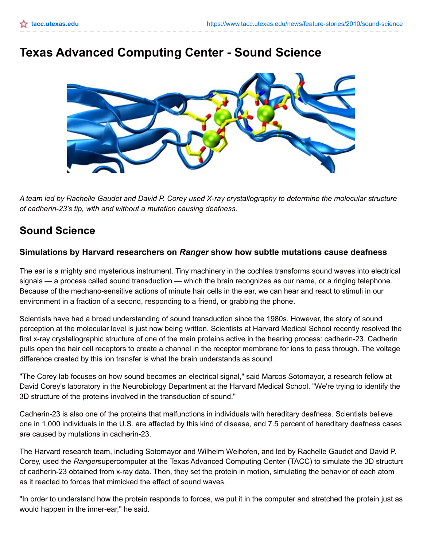# **Texas Advanced Computing Center - Sound Science**



A team led by Rachelle Gaudet and David P. Corey used X-ray crystallography to determine the molecular structure *of cadherin-23's tip, with and without a mutation causing deafness.*

## **Sound Science**

### **Simulations by Harvard researchers on** *Ranger* **show how subtle mutations cause deafness**

The ear is a mighty and mysterious instrument. Tiny machinery in the cochlea transforms sound waves into electrical signals — a process called sound transduction — which the brain recognizes as our name, or a ringing telephone. Because of the mechano-sensitive actions of minute hair cells in the ear, we can hear and react to stimuli in our environment in a fraction of a second, responding to a friend, or grabbing the phone.

Scientists have had a broad understanding of sound transduction since the 1980s. However, the story of sound perception at the molecular level is just now being written. Scientists at Harvard Medical School recently resolved the first x-ray crystallographic structure of one of the main proteins active in the hearing process: cadherin-23. Cadherin pulls open the hair cell receptors to create a channel in the receptor membrane for ions to pass through. The voltage difference created by this ion transfer is what the brain understands as sound.

"The Corey lab focuses on how sound becomes an electrical signal," said Marcos Sotomayor, a research fellow at David Corey's laboratory in the Neurobiology Department at the Harvard Medical School. "We're trying to identify the 3D structure of the proteins involved in the transduction of sound."

Cadherin-23 is also one of the proteins that malfunctions in individuals with hereditary deafness. Scientists believe one in 1,000 individuals in the U.S. are affected by this kind of disease, and 7.5 percent of hereditary deafness cases are caused by mutations in cadherin-23.

The Harvard research team, including Sotomayor and Wilhelm Weihofen, and led by Rachelle Gaudet and David P. Corey, used the *Ranger*supercomputer at the Texas Advanced Computing Center (TACC) to simulate the 3D structure of cadherin-23 obtained from x-ray data. Then, they set the protein in motion, simulating the behavior of each atom as it reacted to forces that mimicked the effect of sound waves.

"In order to understand how the protein responds to forces, we put it in the computer and stretched the protein just as would happen in the inner-ear," he said.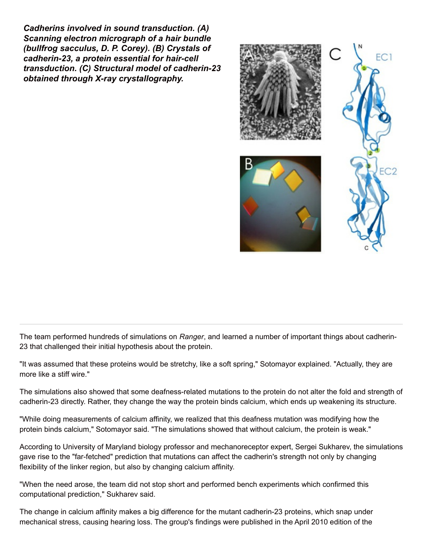*Cadherins involved in sound transduction. (A) Scanning electron micrograph of a hair bundle (bullfrog sacculus, D. P. Corey). (B) Crystals of cadherin-23, a protein essential for hair-cell transduction. (C) Structural model of cadherin-23 obtained through X-ray crystallography.*



The team performed hundreds of simulations on *Ranger*, and learned a number of important things about cadherin-23 that challenged their initial hypothesis about the protein.

"It was assumed that these proteins would be stretchy, like a soft spring," Sotomayor explained. "Actually, they are more like a stiff wire."

The simulations also showed that some deafness-related mutations to the protein do not alter the fold and strength of cadherin-23 directly. Rather, they change the way the protein binds calcium, which ends up weakening its structure.

"While doing measurements of calcium affinity, we realized that this deafness mutation was modifying how the protein binds calcium," Sotomayor said. "The simulations showed that without calcium, the protein is weak."

According to University of Maryland biology professor and mechanoreceptor expert, Sergei Sukharev, the simulations gave rise to the "far-fetched" prediction that mutations can affect the cadherin's strength not only by changing flexibility of the linker region, but also by changing calcium affinity.

"When the need arose, the team did not stop short and performed bench experiments which confirmed this computational prediction," Sukharev said.

The change in calcium affinity makes a big difference for the mutant cadherin-23 proteins, which snap under mechanical stress, causing hearing loss. The group's findings were published in the April 2010 edition of the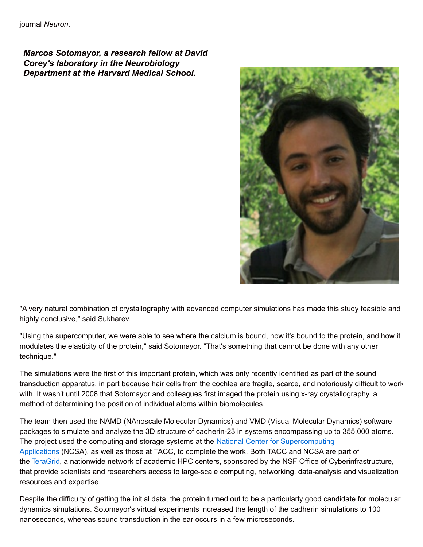*Marcos Sotomayor, a research fellow at David Corey's laboratory in the Neurobiology Department at the Harvard Medical School.*



"A very natural combination of crystallography with advanced computer simulations has made this study feasible and highly conclusive," said Sukharev.

"Using the supercomputer, we were able to see where the calcium is bound, how it's bound to the protein, and how it modulates the elasticity of the protein," said Sotomayor. "That's something that cannot be done with any other technique."

The simulations were the first of this important protein, which was only recently identified as part of the sound transduction apparatus, in part because hair cells from the cochlea are fragile, scarce, and notoriously difficult to work with. It wasn't until 2008 that Sotomayor and colleagues first imaged the protein using x-ray crystallography, a method of determining the position of individual atoms within biomolecules.

The team then used the NAMD (NAnoscale Molecular Dynamics) and VMD (Visual Molecular Dynamics) software packages to simulate and analyze the 3D structure of cadherin-23 in systems encompassing up to 355,000 atoms. The project used the computing and storage systems at the National Center for [Supercomputing](http://www.ncsa.illinois.edu/) Applications (NCSA), as well as those at TACC, to complete the work. Both TACC and NCSA are part of the [TeraGrid](http://www.teragrid.org/), a nationwide network of academic HPC centers, sponsored by the NSF Office of Cyberinfrastructure, that provide scientists and researchers access to large-scale computing, networking, data-analysis and visualization resources and expertise.

Despite the difficulty of getting the initial data, the protein turned out to be a particularly good candidate for molecular dynamics simulations. Sotomayor's virtual experiments increased the length of the cadherin simulations to 100 nanoseconds, whereas sound transduction in the ear occurs in a few microseconds.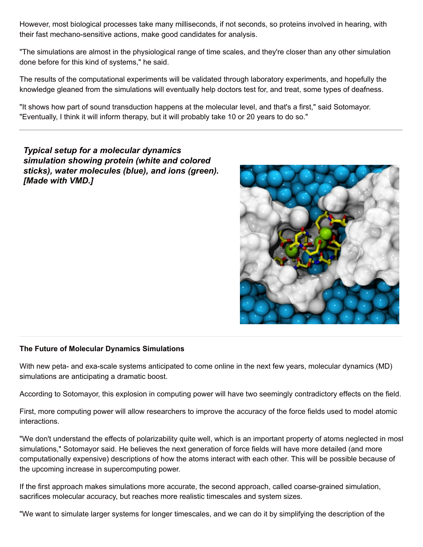However, most biological processes take many milliseconds, if not seconds, so proteins involved in hearing, with their fast mechano-sensitive actions, make good candidates for analysis.

"The simulations are almost in the physiological range of time scales, and they're closer than any other simulation done before for this kind of systems," he said.

The results of the computational experiments will be validated through laboratory experiments, and hopefully the knowledge gleaned from the simulations will eventually help doctors test for, and treat, some types of deafness.

"It shows how part of sound transduction happens at the molecular level, and that's a first," said Sotomayor. "Eventually, I think it will inform therapy, but it will probably take 10 or 20 years to do so."

*Typical setup for a molecular dynamics simulation showing protein (white and colored sticks), water molecules (blue), and ions (green). [Made with VMD.]*



#### **The Future of Molecular Dynamics Simulations**

With new peta- and exa-scale systems anticipated to come online in the next few years, molecular dynamics (MD) simulations are anticipating a dramatic boost.

According to Sotomayor, this explosion in computing power will have two seemingly contradictory effects on the field.

First, more computing power will allow researchers to improve the accuracy of the force fields used to model atomic interactions.

"We don't understand the effects of polarizability quite well, which is an important property of atoms neglected in most simulations," Sotomayor said. He believes the next generation of force fields will have more detailed (and more computationally expensive) descriptions of how the atoms interact with each other. This will be possible because of the upcoming increase in supercomputing power.

If the first approach makes simulations more accurate, the second approach, called coarse-grained simulation, sacrifices molecular accuracy, but reaches more realistic timescales and system sizes.

"We want to simulate larger systems for longer timescales, and we can do it by simplifying the description of the